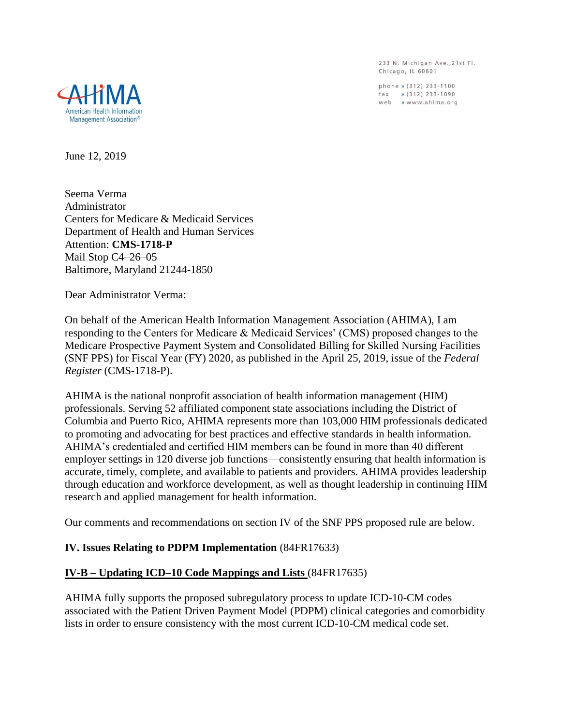233 N. Michigan Ave., 21st Fl. Chicago, IL 60601

phone » (312) 233-1100  $\int \text{d} x$  » (312) 233-1090 web » www.ahima.org



June 12, 2019

Seema Verma Administrator Centers for Medicare & Medicaid Services Department of Health and Human Services Attention: **CMS-1718-P** Mail Stop C4–26–05 Baltimore, Maryland 21244-1850

Dear Administrator Verma:

On behalf of the American Health Information Management Association (AHIMA), I am responding to the Centers for Medicare & Medicaid Services' (CMS) proposed changes to the Medicare Prospective Payment System and Consolidated Billing for Skilled Nursing Facilities (SNF PPS) for Fiscal Year (FY) 2020, as published in the April 25, 2019, issue of the *Federal Register* (CMS-1718-P).

AHIMA is the national nonprofit association of health information management (HIM) professionals. Serving 52 affiliated component state associations including the District of Columbia and Puerto Rico, AHIMA represents more than 103,000 HIM professionals dedicated to promoting and advocating for best practices and effective standards in health information. AHIMA's credentialed and certified HIM members can be found in more than 40 different employer settings in 120 diverse job functions—consistently ensuring that health information is accurate, timely, complete, and available to patients and providers. AHIMA provides leadership through education and workforce development, as well as thought leadership in continuing HIM research and applied management for health information.

Our comments and recommendations on section IV of the SNF PPS proposed rule are below.

## **IV. Issues Relating to PDPM Implementation** (84FR17633)

## **IV-B – Updating ICD–10 Code Mappings and Lists** (84FR17635)

AHIMA fully supports the proposed subregulatory process to update ICD-10-CM codes associated with the Patient Driven Payment Model (PDPM) clinical categories and comorbidity lists in order to ensure consistency with the most current ICD-10-CM medical code set.